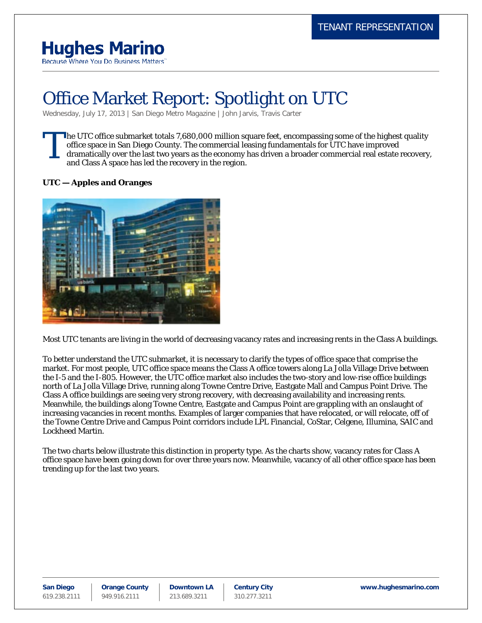# **Hughes Marino**

Because Where You Do Business Matters'

# Office Market Report: Spotlight on UTC

Wednesday, July 17, 2013 | [San Diego Metro Magazine](http://www.hughesmarino.com/article-publication/san-diego-metro-magazine/) | [John Jarvis,](http://www.hughesmarino.com/article-author/john-jarvis/) Travis Carter

he UTC office submarket totals 7,680,000 million square feet, encompassing some of the highest quality office space in San Diego County. The commercial leasing fundamentals for UTC have improved dramatically over the last two years as the economy has driven a broader commercial real estate recovery, and Class A space has led the recovery in the region. T

### **UTC — Apples and Oranges**



Most UTC tenants are living in the world of decreasing vacancy rates and increasing rents in the Class A buildings.

To better understand the UTC submarket, it is necessary to clarify the types of office space that comprise the market. For most people, UTC office space means the Class A office towers along La Jolla Village Drive between the I-5 and the I-805. However, the UTC office market also includes the two-story and low-rise office buildings north of La Jolla Village Drive, running along Towne Centre Drive, Eastgate Mall and Campus Point Drive. The Class A office buildings are seeing very strong recovery, with decreasing availability and increasing rents. Meanwhile, the buildings along Towne Centre, Eastgate and Campus Point are grappling with an onslaught of increasing vacancies in recent months. Examples of larger companies that have relocated, or will relocate, off of the Towne Centre Drive and Campus Point corridors include LPL Financial, CoStar, Celgene, Illumina, SAIC and Lockheed Martin.

The two charts below illustrate this distinction in property type. As the charts show, vacancy rates for Class A office space have been going down for over three years now. Meanwhile, vacancy of all other office space has been trending up for the last two years.

**San Diego** 619.238.2111 **Orange County** 949.916.2111

**Downtown LA** 213.689.3211

**Century City** 310.277.3211

**www.hughesmarino.com**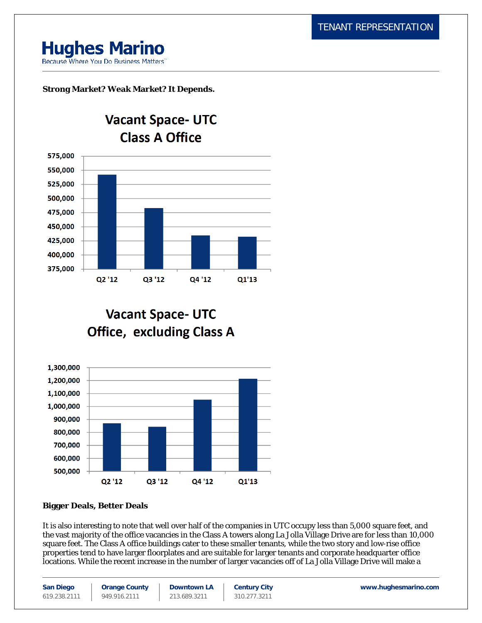# **Hughes Marino**

Because Where You Do Business Matters"

## **Strong Market? Weak Market? It Depends.**



**Vacant Space- UTC Office, excluding Class A** 



### **Bigger Deals, Better Deals**

It is also interesting to note that well over half of the companies in UTC occupy less than 5,000 square feet, and the vast majority of the office vacancies in the Class A towers along La Jolla Village Drive are for less than 10,000 square feet. The Class A office buildings cater to these smaller tenants, while the two story and low-rise office properties tend to have larger floorplates and are suitable for larger tenants and corporate headquarter office locations. While the recent increase in the number of larger vacancies off of La Jolla Village Drive will make a

| <b>San Diego</b> | <b>Orange County</b> | <b>Downtown LA</b> | <b>Century City</b> | www.hughesmarino.com |
|------------------|----------------------|--------------------|---------------------|----------------------|
| 619.238.2111     | 949.916.2111         | 213.689.3211       | 310.277.3211        |                      |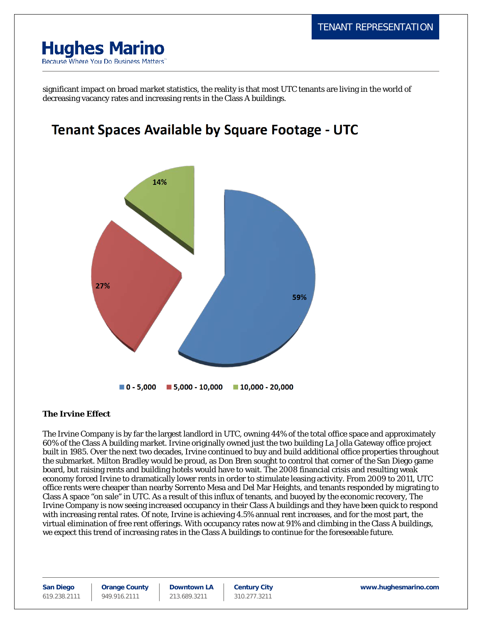# **Hughes Marino** Because Where You Do Business Matters'

significant impact on broad market statistics, the reality is that most UTC tenants are living in the world of decreasing vacancy rates and increasing rents in the Class A buildings.

# **Tenant Spaces Available by Square Footage - UTC**



### **The Irvine Effect**

The Irvine Company is by far the largest landlord in UTC, owning 44% of the total office space and approximately 60% of the Class A building market. Irvine originally owned just the two building La Jolla Gateway office project built in 1985. Over the next two decades, Irvine continued to buy and build additional office properties throughout the submarket. Milton Bradley would be proud, as Don Bren sought to control that corner of the San Diego game board, but raising rents and building hotels would have to wait. The 2008 financial crisis and resulting weak economy forced Irvine to dramatically lower rents in order to stimulate leasing activity. From 2009 to 2011, UTC office rents were cheaper than nearby Sorrento Mesa and Del Mar Heights, and tenants responded by migrating to Class A space "on sale" in UTC. As a result of this influx of tenants, and buoyed by the economic recovery, The Irvine Company is now seeing increased occupancy in their Class A buildings and they have been quick to respond with increasing rental rates. Of note, Irvine is achieving 4.5% annual rent increases, and for the most part, the virtual elimination of free rent offerings. With occupancy rates now at 91% and climbing in the Class A buildings, we expect this trend of increasing rates in the Class A buildings to continue for the foreseeable future.

**San Diego** 619.238.2111